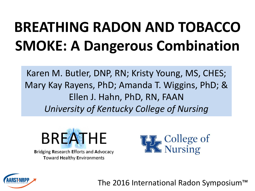# **BREATHING RADON AND TOBACCO SMOKE: A Dangerous Combination**

Karen M. Butler, DNP, RN; Kristy Young, MS, CHES; Mary Kay Rayens, PhD; Amanda T. Wiggins, PhD; & Ellen J. Hahn, PhD, RN, FAAN *University of Kentucky College of Nursing*



**Bridging Research Efforts and Advocacy Toward Healthy Environments** 



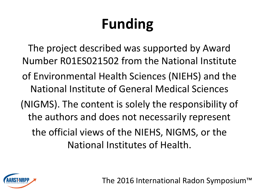# **Funding**

The project described was supported by Award Number R01ES021502 from the National Institute of Environmental Health Sciences (NIEHS) and the National Institute of General Medical Sciences (NIGMS). The content is solely the responsibility of the authors and does not necessarily represent the official views of the NIEHS, NIGMS, or the National Institutes of Health.

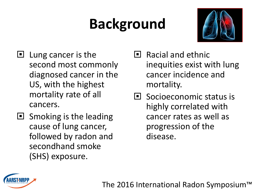# **Background**



- $\blacksquare$  Lung cancer is the second most commonly diagnosed cancer in the US, with the highest mortality rate of all cancers.
- $\blacksquare$  Smoking is the leading cause of lung cancer, followed by radon and secondhand smoke (SHS) exposure.
- $\blacksquare$  Racial and ethnic inequities exist with lung cancer incidence and mortality.
- $\blacksquare$  Socioeconomic status is highly correlated with cancer rates as well as progression of the disease.

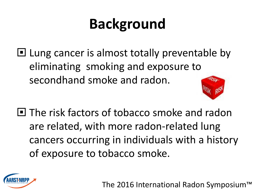# **Background**

 $\Box$  Lung cancer is almost totally preventable by eliminating smoking and exposure to secondhand smoke and radon.



**The risk factors of tobacco smoke and radon** are related, with more radon-related lung cancers occurring in individuals with a history of exposure to tobacco smoke.

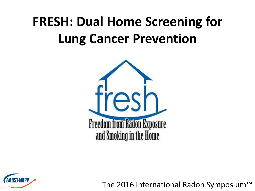#### **FRESH: Dual Home Screening for Lung Cancer Prevention**



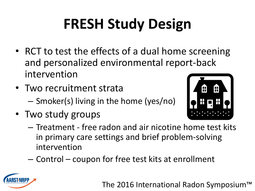# **FRESH Study Design**

- RCT to test the effects of a dual home screening and personalized environmental report-back intervention
- Two recruitment strata – Smoker(s) living in the home (yes/no)
- Two study groups



- Treatment free radon and air nicotine home test kits in primary care settings and brief problem-solving intervention
- Control coupon for free test kits at enrollment

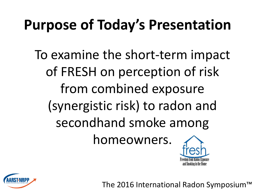#### **Purpose of Today's Presentation**

To examine the short-term impact of FRESH on perception of risk from combined exposure (synergistic risk) to radon and secondhand smoke among homeowners.



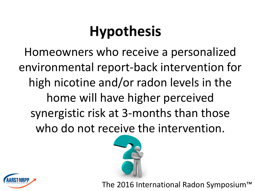# **Hypothesis**

Homeowners who receive a personalized environmental report-back intervention for high nicotine and/or radon levels in the home will have higher perceived synergistic risk at 3-months than those who do not receive the intervention.



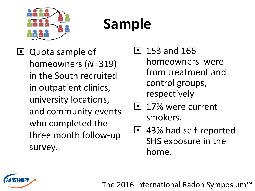

# **Sample**

□ Quota sample of homeowners (*N*=319) in the South recruited in outpatient clinics, university locations, and community events who completed the three month follow-up survey.

 $\blacksquare$  153 and 166 homeowners were from treatment and control groups, respectively

- 17% were current smokers.
- □ 43% had self-reported SHS exposure in the home.

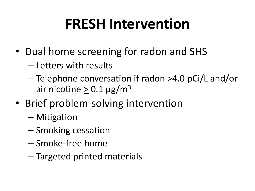#### **FRESH Intervention**

- Dual home screening for radon and SHS
	- Letters with results
	- $-$  Telephone conversation if radon  $\geq$ 4.0 pCi/L and/or air nicotine >  $0.1 \mu g/m^3$
- Brief problem-solving intervention
	- Mitigation
	- Smoking cessation
	- Smoke-free home
	- Targeted printed materials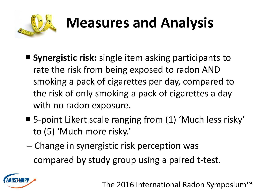

# **Measures and Analysis**

- **Synergistic risk:** single item asking participants to rate the risk from being exposed to radon AND smoking a pack of cigarettes per day, compared to the risk of only smoking a pack of cigarettes a day with no radon exposure.
- 5-point Likert scale ranging from (1) 'Much less risky' to (5) 'Much more risky.'
- Change in synergistic risk perception was compared by study group using a paired t-test.

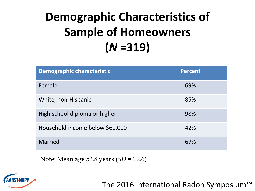#### **Demographic Characteristics of Sample of Homeowners (***N* **=319)**

| <b>Demographic characteristic</b> | <b>Percent</b> |
|-----------------------------------|----------------|
| Female                            | 69%            |
| White, non-Hispanic               | 85%            |
| High school diploma or higher     | 98%            |
| Household income below \$60,000   | 42%            |
| <b>Married</b>                    | 67%            |

Note: Mean age 52.8 years (*SD* = 12.6)

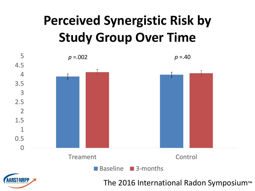#### **Perceived Synergistic Risk by Study Group Over Time**

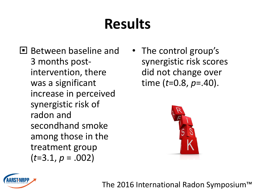### **Results**

- **Between baseline and** 3 months postintervention, there was a significant increase in perceived synergistic risk of radon and secondhand smoke among those in the treatment group (*t*=3.1, *p* = .002)
- The control group's synergistic risk scores did not change over time (*t*=0.8, *p*=.40).



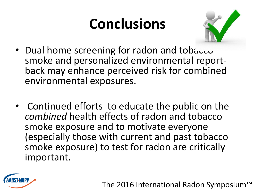### **Conclusions**



- Dual home screening for radon and tobacco smoke and personalized environmental reportback may enhance perceived risk for combined environmental exposures.
- Continued efforts to educate the public on the *combined* health effects of radon and tobacco smoke exposure and to motivate everyone (especially those with current and past tobacco smoke exposure) to test for radon are critically important.

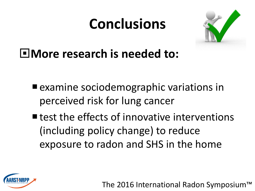#### **Conclusions**



**More research is needed to:**

- examine sociodemographic variations in perceived risk for lung cancer
- $\blacksquare$  test the effects of innovative interventions (including policy change) to reduce exposure to radon and SHS in the home

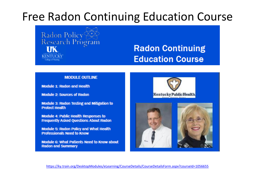#### Free Radon Continuing Education Course



#### **Radon Continuing Education Course**

#### **MODULE OUTLINE**

**Module 1: Radon and Health** 

**Module 2: Sources of Radon** 

**Module 3: Radon Testing and Mitigation to Protect Health** 

**Module 4: Public Health Responses to Frequently Asked Questions About Radon** 

**Module 5: Radon Policy and What Health Professionals Need to Know** 

**Module 6: What Patients Need to Know about Radon and Summary** 





<https://ky.train.org/DesktopModules/eLearning/CourseDetails/CourseDetailsForm.aspx?courseId=1056655>